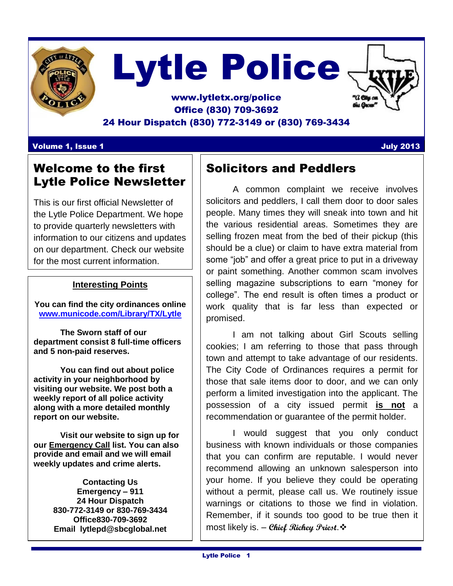

# Lytle Police

## www.lytletx.org/police Office (830) 709-3692 24 Hour Dispatch (830) 772-3149 or (830) 769-3434

#### Volume 1, Issue 1 July 2013

# Welcome to the first Lytle Police Newsletter

This is our first official Newsletter of the Lytle Police Department. We hope to provide quarterly newsletters with information to our citizens and updates on our department. Check our website for the most current information.

### **Interesting Points**

**You can find the city ordinances online [www.municode.com/Library/TX/Lytle](http://www.municode.com/Library/TX/Lytle)**

**The Sworn staff of our department consist 8 full-time officers and 5 non-paid reserves.**

**You can find out about police activity in your neighborhood by visiting our website. We post both a weekly report of all police activity along with a more detailed monthly report on our website.**

**Visit our website to sign up for our Emergency Call list. You can also provide and email and we will email weekly updates and crime alerts.** 

> **Contacting Us Emergency – 911 24 Hour Dispatch 830-772-3149 or 830-769-3434 Office830-709-3692 Email lytlepd@sbcglobal.net**

# Solicitors and Peddlers

A common complaint we receive involves solicitors and peddlers, I call them door to door sales people. Many times they will sneak into town and hit the various residential areas. Sometimes they are selling frozen meat from the bed of their pickup (this should be a clue) or claim to have extra material from some "job" and offer a great price to put in a driveway or paint something. Another common scam involves selling magazine subscriptions to earn "money for college". The end result is often times a product or work quality that is far less than expected or promised.

I am not talking about Girl Scouts selling cookies; I am referring to those that pass through town and attempt to take advantage of our residents. The City Code of Ordinances requires a permit for those that sale items door to door, and we can only perform a limited investigation into the applicant. The possession of a city issued permit **is not** a recommendation or guarantee of the permit holder.

I would suggest that you only conduct business with known individuals or those companies that you can confirm are reputable. I would never recommend allowing an unknown salesperson into your home. If you believe they could be operating without a permit, please call us. We routinely issue warnings or citations to those we find in violation. Remember, if it sounds too good to be true then it most likely is. – **Chief Richey Priest**.

Ī